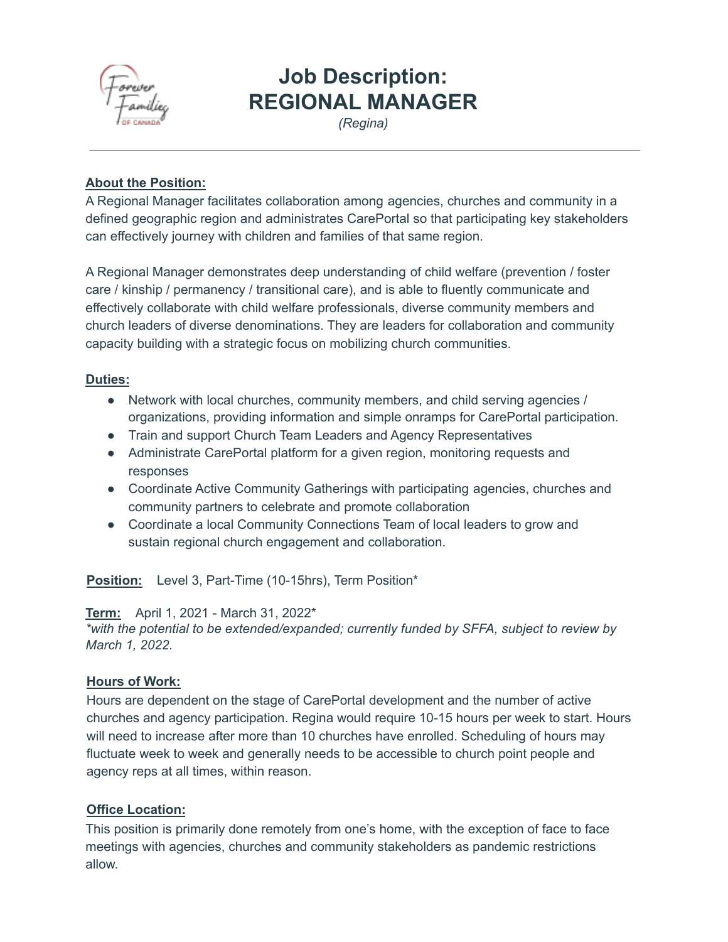

# **Job Description: REGIONAL MANAGER**

*(Regina)*

## **About the Position:**

A Regional Manager facilitates collaboration among agencies, churches and community in a defined geographic region and administrates CarePortal so that participating key stakeholders can effectively journey with children and families of that same region.

A Regional Manager demonstrates deep understanding of child welfare (prevention / foster care / kinship / permanency / transitional care), and is able to fluently communicate and effectively collaborate with child welfare professionals, diverse community members and church leaders of diverse denominations. They are leaders for collaboration and community capacity building with a strategic focus on mobilizing church communities.

# **Duties:**

- Network with local churches, community members, and child serving agencies / organizations, providing information and simple onramps for CarePortal participation.
- Train and support Church Team Leaders and Agency Representatives
- Administrate CarePortal platform for a given region, monitoring requests and responses
- Coordinate Active Community Gatherings with participating agencies, churches and community partners to celebrate and promote collaboration
- Coordinate a local Community Connections Team of local leaders to grow and sustain regional church engagement and collaboration.

**Position:** Level 3, Part-Time (10-15hrs), Term Position\*

**Term:** April 1, 2021 - March 31, 2022\*

*\*with the potential to be extended/expanded; currently funded by SFFA, subject to review by March 1, 2022.*

#### **Hours of Work:**

Hours are dependent on the stage of CarePortal development and the number of active churches and agency participation. Regina would require 10-15 hours per week to start. Hours will need to increase after more than 10 churches have enrolled. Scheduling of hours may fluctuate week to week and generally needs to be accessible to church point people and agency reps at all times, within reason.

#### **Office Location:**

This position is primarily done remotely from one's home, with the exception of face to face meetings with agencies, churches and community stakeholders as pandemic restrictions allow.